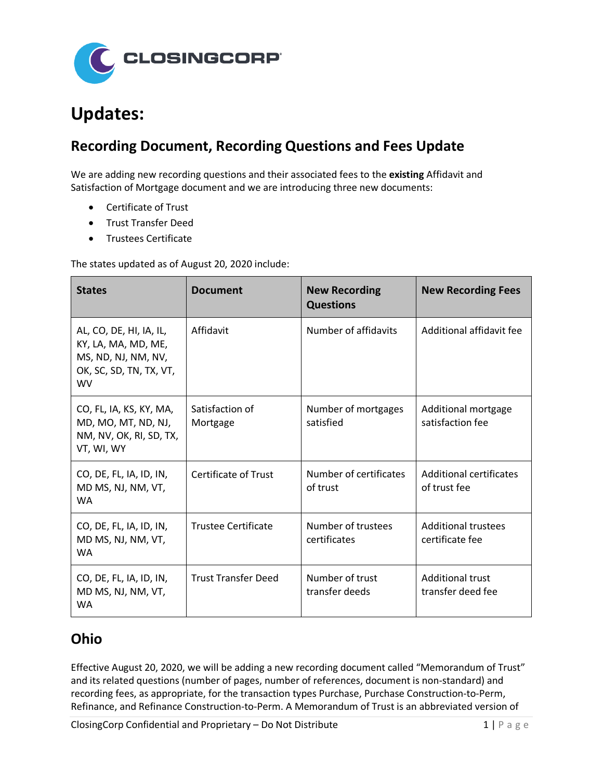

# **Updates:**

### **Recording Document, Recording Questions and Fees Update**

We are adding new recording questions and their associated fees to the **existing** Affidavit and Satisfaction of Mortgage document and we are introducing three new documents:

- Certificate of Trust
- Trust Transfer Deed
- Trustees Certificate

The states updated as of August 20, 2020 include:

| <b>States</b>                                                                                                 | <b>Document</b>             | <b>New Recording</b><br><b>Questions</b> | <b>New Recording Fees</b>                      |
|---------------------------------------------------------------------------------------------------------------|-----------------------------|------------------------------------------|------------------------------------------------|
| AL, CO, DE, HI, IA, IL,<br>KY, LA, MA, MD, ME,<br>MS, ND, NJ, NM, NV,<br>OK, SC, SD, TN, TX, VT,<br><b>WV</b> | Affidavit                   | Number of affidavits                     | Additional affidavit fee                       |
| CO, FL, IA, KS, KY, MA,<br>MD, MO, MT, ND, NJ,<br>NM, NV, OK, RI, SD, TX,<br>VT, WI, WY                       | Satisfaction of<br>Mortgage | Number of mortgages<br>satisfied         | Additional mortgage<br>satisfaction fee        |
| CO, DE, FL, IA, ID, IN,<br>MD MS, NJ, NM, VT,<br><b>WA</b>                                                    | <b>Certificate of Trust</b> | Number of certificates<br>of trust       | <b>Additional certificates</b><br>of trust fee |
| CO, DE, FL, IA, ID, IN,<br>MD MS, NJ, NM, VT,<br><b>WA</b>                                                    | <b>Trustee Certificate</b>  | Number of trustees<br>certificates       | <b>Additional trustees</b><br>certificate fee  |
| CO, DE, FL, IA, ID, IN,<br>MD MS, NJ, NM, VT,<br>WA                                                           | <b>Trust Transfer Deed</b>  | Number of trust<br>transfer deeds        | <b>Additional trust</b><br>transfer deed fee   |

#### **Ohio**

Effective August 20, 2020, we will be adding a new recording document called "Memorandum of Trust" and its related questions (number of pages, number of references, document is non-standard) and recording fees, as appropriate, for the transaction types Purchase, Purchase Construction-to-Perm, Refinance, and Refinance Construction-to-Perm. A Memorandum of Trust is an abbreviated version of

ClosingCorp Confidential and Proprietary – Do Not Distribute 1 and  $1 \mid P \text{ a } g \text{ e}$